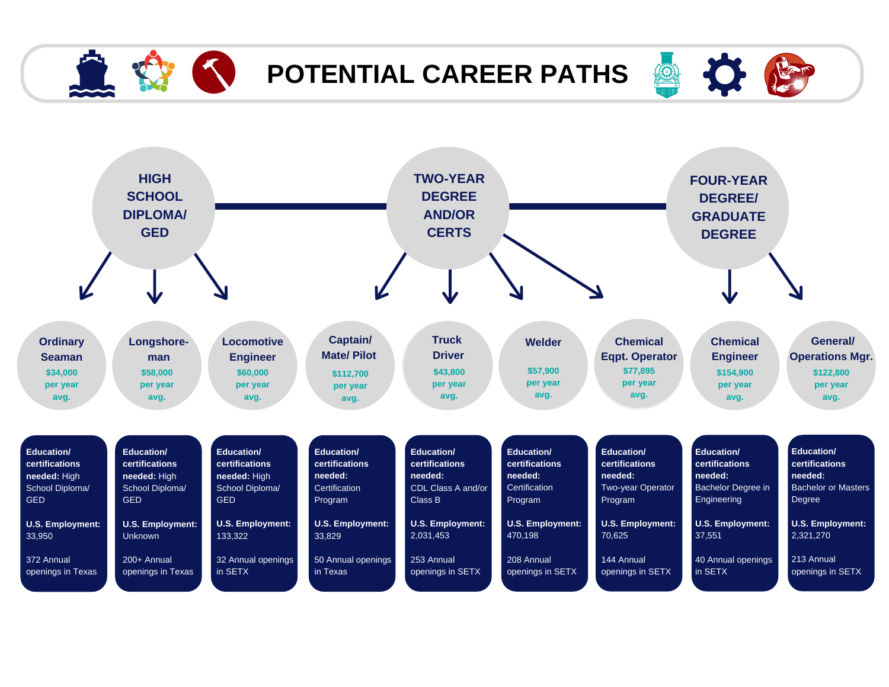

## **POTENTIAL CAREER PATHS**



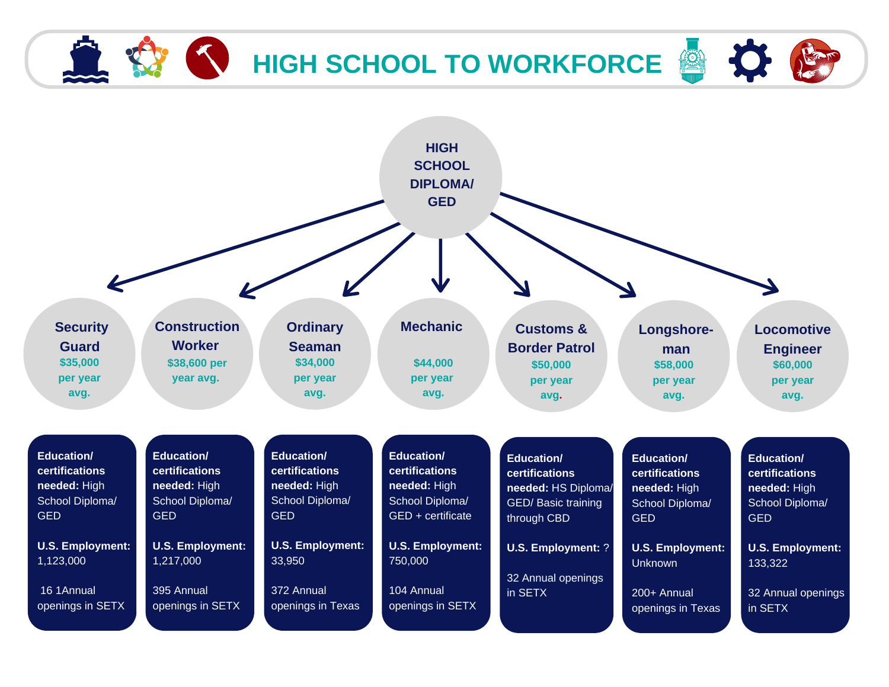## **K** HIGH SCHOOL TO WORKFORCE

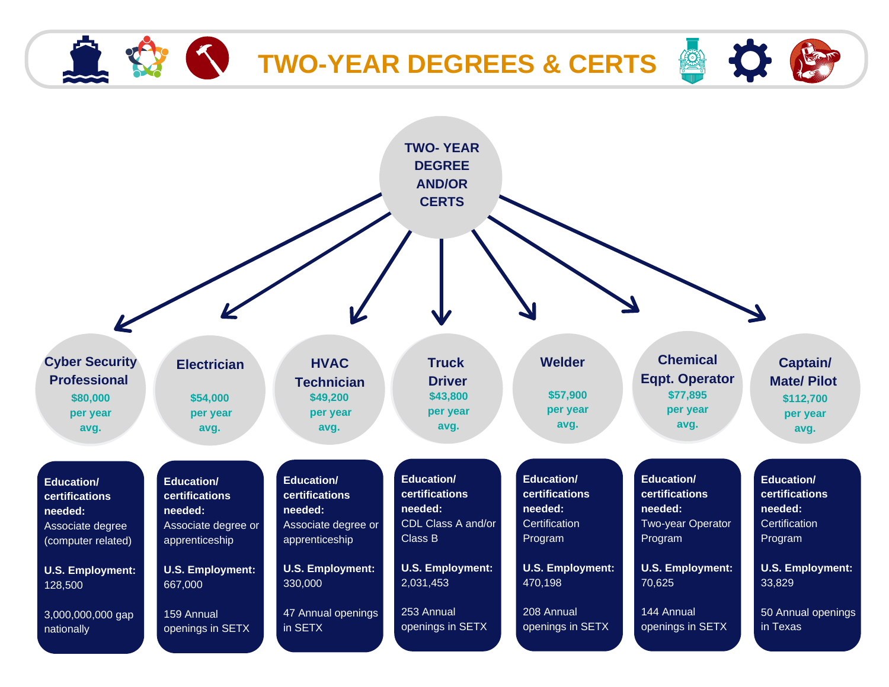## **TWO-YEAR DEGREES** & CERTS